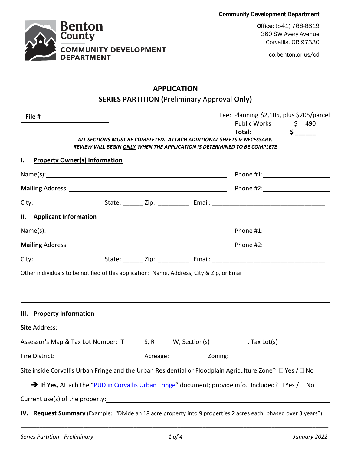Community Development Department



Office: (541) 766-6819 360 SW Avery Avenue Corvallis, OR 97330

co.benton.or.us/cd

| <b>APPLICATION</b>                                                                                                                                            |                                                                                                                                                                                                                                |  |  |  |  |
|---------------------------------------------------------------------------------------------------------------------------------------------------------------|--------------------------------------------------------------------------------------------------------------------------------------------------------------------------------------------------------------------------------|--|--|--|--|
| <b>SERIES PARTITION (Preliminary Approval Only)</b>                                                                                                           |                                                                                                                                                                                                                                |  |  |  |  |
| File #<br>ALL SECTIONS MUST BE COMPLETED.  ATTACH ADDITIONAL SHEETS IF NECESSARY.<br>REVIEW WILL BEGIN ONLY WHEN THE APPLICATION IS DETERMINED TO BE COMPLETE | Fee: Planning \$2,105, plus \$205/parcel<br>Public Works 5 490                                                                                                                                                                 |  |  |  |  |
| <b>Property Owner(s) Information</b><br>Ι.                                                                                                                    |                                                                                                                                                                                                                                |  |  |  |  |
|                                                                                                                                                               |                                                                                                                                                                                                                                |  |  |  |  |
|                                                                                                                                                               |                                                                                                                                                                                                                                |  |  |  |  |
|                                                                                                                                                               |                                                                                                                                                                                                                                |  |  |  |  |
| II. Applicant Information                                                                                                                                     |                                                                                                                                                                                                                                |  |  |  |  |
|                                                                                                                                                               | Phone #1: Department of the state of the state of the state of the state of the state of the state of the state of the state of the state of the state of the state of the state of the state of the state of the state of the |  |  |  |  |
|                                                                                                                                                               |                                                                                                                                                                                                                                |  |  |  |  |
|                                                                                                                                                               |                                                                                                                                                                                                                                |  |  |  |  |
| Other individuals to be notified of this application: Name, Address, City & Zip, or Email<br>III. Property Information                                        |                                                                                                                                                                                                                                |  |  |  |  |
|                                                                                                                                                               |                                                                                                                                                                                                                                |  |  |  |  |
|                                                                                                                                                               |                                                                                                                                                                                                                                |  |  |  |  |
|                                                                                                                                                               |                                                                                                                                                                                                                                |  |  |  |  |
| Site inside Corvallis Urban Fringe and the Urban Residential or Floodplain Agriculture Zone? $\Box$ Yes / $\Box$ No                                           |                                                                                                                                                                                                                                |  |  |  |  |
| $\rightarrow$ If Yes, Attach the "PUD in Corvallis Urban Fringe" document; provide info. Included? $\Box$ Yes / $\Box$ No                                     |                                                                                                                                                                                                                                |  |  |  |  |
|                                                                                                                                                               |                                                                                                                                                                                                                                |  |  |  |  |
| IV. Request Summary (Example: "Divide an 18 acre property into 9 properties 2 acres each, phased over 3 years")                                               |                                                                                                                                                                                                                                |  |  |  |  |

**\_\_\_\_\_\_\_\_\_\_\_\_\_\_\_\_\_\_\_\_\_\_\_\_\_\_\_\_\_\_\_\_\_\_\_\_\_\_\_\_\_\_\_\_\_\_\_\_\_\_\_\_\_\_\_\_\_\_\_\_\_\_\_\_\_\_\_\_\_\_\_\_\_\_\_\_\_\_\_\_\_\_\_\_\_\_\_\_\_\_\_\_\_\_\_\_\_\_**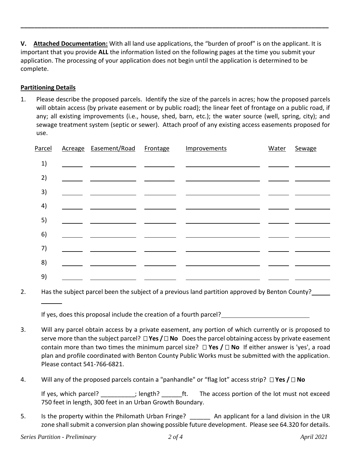**V. Attached Documentation:** With all land use applications, the "burden of proof" is on the applicant. It is important that you provide **ALL** the information listed on the following pages at the time you submit your application. The processing of your application does not begin until the application is determined to be complete.

**\_\_\_\_\_\_\_\_\_\_\_\_\_\_\_\_\_\_\_\_\_\_\_\_\_\_\_\_\_\_\_\_\_\_\_\_\_\_\_\_\_\_\_\_\_\_\_\_\_\_\_\_\_\_\_\_\_\_\_\_\_\_\_\_\_\_\_\_\_\_\_\_\_\_\_\_\_\_\_\_\_\_\_\_\_\_\_\_\_\_**

## **Partitioning Details**

1. Please describe the proposed parcels. Identify the size of the parcels in acres; how the proposed parcels will obtain access (by private easement or by public road); the linear feet of frontage on a public road, if any; all existing improvements (i.e., house, shed, barn, etc.); the water source (well, spring, city); and sewage treatment system (septic or sewer). Attach proof of any existing access easements proposed for use.

| Parcel | Acreage Easement/Road Frontage | Improvements | Water | Sewage |
|--------|--------------------------------|--------------|-------|--------|
| 1)     |                                |              |       |        |
| 2)     |                                |              |       |        |
| 3)     |                                |              |       |        |
| 4)     |                                |              |       |        |
| 5)     |                                |              |       |        |
| 6)     |                                |              |       |        |
| 7)     |                                |              |       |        |
| 8)     |                                |              |       |        |
| 9)     |                                |              |       |        |

2. Has the subject parcel been the subject of a previous land partition approved by Benton County?

If yes, does this proposal include the creation of a fourth parcel?

- 3. Will any parcel obtain access by a private easement, any portion of which currently or is proposed to serve more than the subject parcel? **□ Yes / □ No** Does the parcel obtaining access by private easement contain more than two times the minimum parcel size?  $\Box$  Yes  $/ \Box$  No If either answer is 'yes', a road plan and profile coordinated with Benton County Public Works must be submitted with the application. Please contact 541-766-6821.
- 4. Will any of the proposed parcels contain a "panhandle" or "flag lot" access strip? □ Yes / □ No

If yes, which parcel?  $\qquad \qquad$  ; length?  $\qquad$  ft. The access portion of the lot must not exceed 750 feet in length, 300 feet in an Urban Growth Boundary.

5. Is the property within the Philomath Urban Fringe? An applicant for a land division in the UR zone shall submit a conversion plan showing possible future development. Please see 64.320 for details.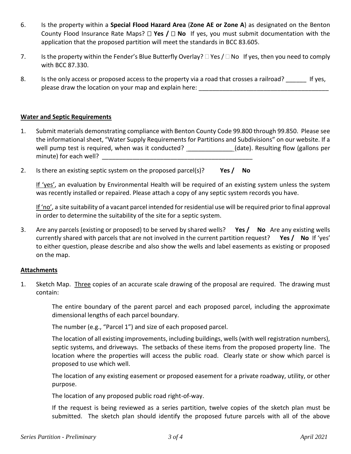- 6. Is the property within a **Special Flood Hazard Area** (**Zone AE or Zone A**) as designated on the Benton County Flood Insurance Rate Maps?  $\Box$  Yes /  $\Box$  No If yes, you must submit documentation with the application that the proposed partition will meet the standards in BCC 83.605.
- 7. Is the property within the Fender's Blue Butterfly Overlay?  $\Box$  Yes  $/\Box$  No If yes, then you need to comply with BCC 87.330.
- 8. Is the only access or proposed access to the property via a road that crosses a railroad? The ves, please draw the location on your map and explain here:

## **Water and Septic Requirements**

- 1. Submit materials demonstrating compliance with Benton County Code 99.800 through 99.850. Please see the informational sheet, "Water Supply Requirements for Partitions and Subdivisions" on our website. If a well pump test is required, when was it conducted? \_\_\_\_\_\_\_\_\_\_\_\_\_(date). Resulting flow (gallons per minute) for each well? The same state of  $\sim$
- 2. Is there an existing septic system on the proposed parcel(s)? **Yes / No**

If 'yes', an evaluation by Environmental Health will be required of an existing system unless the system was recently installed or repaired. Please attach a copy of any septic system records you have.

If 'no', a site suitability of a vacant parcel intended for residential use will be required prior to final approval in order to determine the suitability of the site for a septic system.

3. Are any parcels (existing or proposed) to be served by shared wells? **Yes / No** Are any existing wells currently shared with parcels that are not involved in the current partition request? **Yes / No** If 'yes' to either question, please describe and also show the wells and label easements as existing or proposed on the map.

## **Attachments**

1. Sketch Map. Three copies of an accurate scale drawing of the proposal are required. The drawing must contain:

The entire boundary of the parent parcel and each proposed parcel, including the approximate dimensional lengths of each parcel boundary.

The number (e.g., "Parcel 1") and size of each proposed parcel.

The location of all existing improvements, including buildings, wells (with well registration numbers), septic systems, and driveways. The setbacks of these items from the proposed property line. The location where the properties will access the public road. Clearly state or show which parcel is proposed to use which well.

The location of any existing easement or proposed easement for a private roadway, utility, or other purpose.

The location of any proposed public road right-of-way.

If the request is being reviewed as a series partition, twelve copies of the sketch plan must be submitted. The sketch plan should identify the proposed future parcels with all of the above